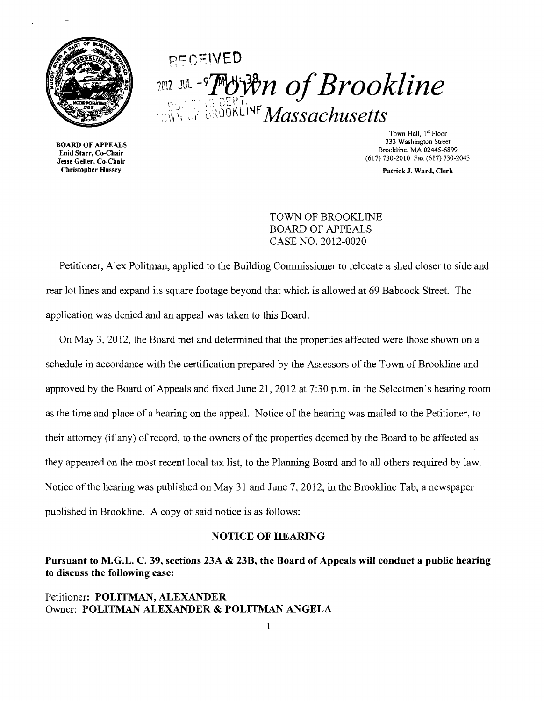

# RECEIVED 2012 JUL-9**THEFT!** *Of Brookline*  $_{\text{I.3}\text{WH}}$  .I:  $\text{Li}$   $\text{Li}$  ,  $\text{Li}$   $\text{N}$   $\text{Li}$   $\text{M}$   $\text{diss}$   $\text{c}$   $\text{h}$   $\text{us}$   $\text{et}$   $\text{t}$   $\text{s}$

**3333 BOARD OF APPEALS**<br>533 Enid Starr, Co-Chair  $\frac{1}{100}$  (617) 730-2010 Fax (617) 730-2043<br>
Christopher Hussey<br>
Christopher Hussey<br>
Patrick J. Ward. Clerk

Town Hall, 1<sup>st</sup> Floor<br>333 Washington Street Brookline, MA 02445-6899<br>
Enid Starr, Co-Chair<br>
Jesse Geller, Co-Chair<br>
Starr, Co-Chair<br>
Chair<br>
Enid Starr, Co-Chair<br>
Chair<br>
Chair<br>
Chair<br>
Chair<br>
Chair<br>
Chair<br>
Chair<br>
Chair<br>
Chair<br>
Chair<br>
Chair<br>
Chair<br>
Chair<br>
Chair<br>
Chair<br>

Patrick J. Ward, Clerk

TOWN OF BROOKLINE BOARD OF APPEALS CASE NO. 2012-0020

Petitioner, Alex Politman, applied to the Building Commissioner to relocate a shed closer to side and rear lot lines and expand its square footage beyond that which is allowed at 69 Babcock Street. The application was denied and an appeal was taken to this Board.

On May 3, 2012, the Board met and determined that the properties affected were those shown on a schedule in accordance with the certification prepared by the Assessors of the Town of Brookline and approved by the Board of Appeals and fixed June 21,2012 at 7:30 p.m. in the Selectmen's hearing room as the time and place of a hearing on the appeal. Notice of the hearing was mailed to the Petitioner, to their attorney (if any) of record, to the owners of the properties deemed by the Board to be affected as they appeared on the most recent local tax list, to the Planning Board and to all others required by law. Notice of the hearing was published on May 31 and June 7, 2012, in the Brookline Tab, a newspaper published in Brookline. A copy of said notice is as follows:

#### NOTICE OF HEARING

## Pursuant to M.G.L. C. 39, sections 23A & 23B, the Board of Appeals will conduct a public hearing to discuss the following case:

#### Petitioner: POLITMAN, ALEXANDER Owner: POLITMAN ALEXANDER & POLITMAN ANGELA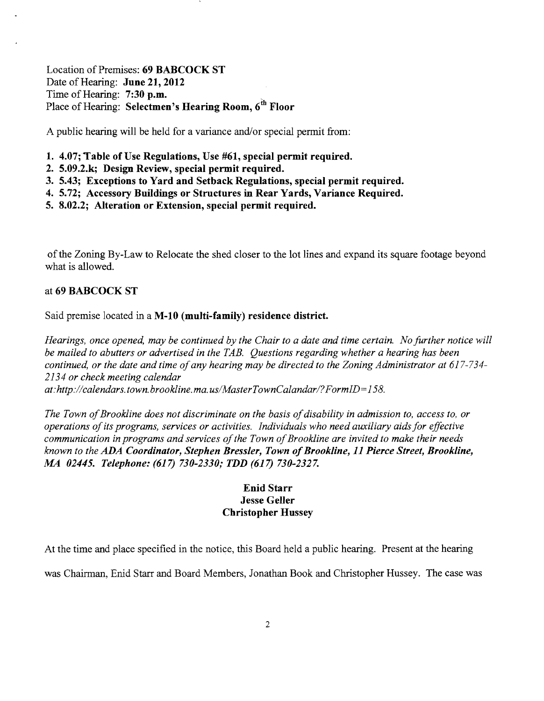Location of Premises: 69 BABCOCK ST Date of Hearing: June 21, 2012<br>Time of Hearing: 7:30 p.m. Location of Premises: 69 BABCOCK ST<br>Date of Hearing: June 21, 2012<br>Time of Hearing: 7:30 p.m.<br>Place of Hearing: Selectmen's Hearing Room, 6<sup>th</sup> Floor

A public hearing will be held for a variance and/or special permit from:

- 1. 4.07; Table of Use Regulations, Use #61, special permit required.
- 2. 5.09.2.k; Design Review, special permit required.
- 3. 5.43; Exceptions to Yard and Setback Regulations, special permit required.
- 4. 5.72; Accessory Buildings or Structures in Rear Yards, Variance Required.
- 5. 8.02.2; Alteration or Extension, special permit required.

ofthe Zoning By-Law to Relocate the shed closer to the lot lines and expand its square footage beyond what is allowed.

#### at 69 BABCOCK ST

Said premise located in a M-10 (multi-family) residence district.

*Hearings, once opened, may be continued by the Chair to a date and time certain. No further notice will be mailed to abutters or advertised in the TAB. Questions regarding whether a hearing has been continued, or the date and time ofany hearing may be directed to the Zoning Administrator at 617-734 2134 or check meeting calendar* 

*at:http://calendars.town.brookline.ma.usIMasterTownCalandarl?FormID=158.* 

The Town of Brookline does not discriminate on the basis of disability in admission to, access to, or *operations ofits programs, services or activities. Individuals who need auxiliary aidsfor effective communication in programs and services of the Town of Brookline are invited to make their needs known to the ADA Coordinator, Stephen Bressler, Town ofBrookline,* 11 *Pierce Street, Brookline, MA 02445. Telephone:* (617) *730-2330; TDD* (617) *730-2327.* 

### Enid Starr Jesse Geller Christopher Hussey

At the time and place specified in the notice, this Board held a public hearing. Present at the hearing

was Chairman, Enid Starr and Board Members, Jonathan Book and Christopher Hussey. The case was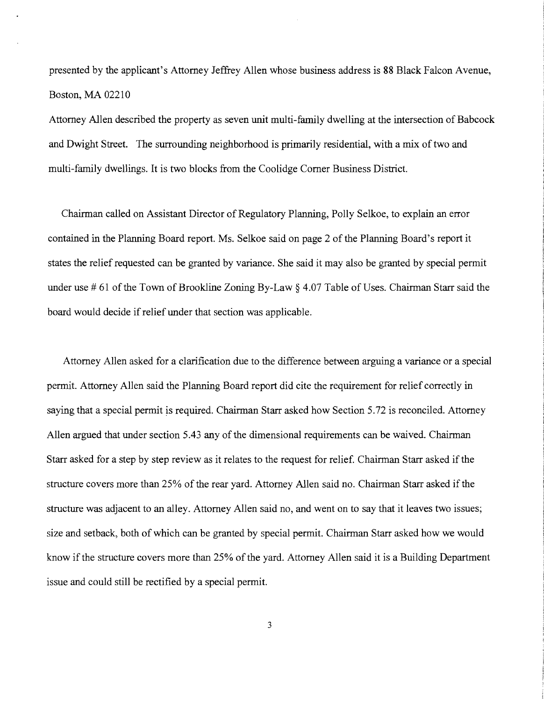presented by the applicant's Attorney Jeffrey Allen whose business address is 88 Black Falcon Avenue, Boston, MA 02210

Attorney Allen described the property as seven unit multi-family dwelling at the intersection of Babcock and Dwight Street. The surrounding neighborhood is primarily residential, with a mix of two and multi-family dwellings. It is two blocks from the Coolidge Corner Business District.

Chairman called on Assistant Director of Regulatory Planning, Polly Selkoe, to explain an error contained in the Planning Board report. Ms. Selkoe said on page 2 of the Planning Board's report it states the relief requested can be granted by variance. She said it may also be granted by special permit under use  $\# 61$  of the Town of Brookline Zoning By-Law  $\frac{1}{2}$  4.07 Table of Uses. Chairman Starr said the board would decide ifrelief under that section was applicable.

Attorney Allen asked for a clarification due to the difference between arguing a variance or a special pennit. Attorney Allen said the Planning Board report did cite the requirement for relief correctly in saying that a special permit is required. Chairman Starr asked how Section 5.72 is reconciled. Attorney Allen argued that under section 5.43 any of the dimensional requirements can be waived. Chairman Starr asked for a step by step review as it relates to the request for relief. Chairman Starr asked if the structure covers more than 25% of the rear yard. Attorney Allen said no. Chairman Starr asked if the structure was adjacent to an alley. Attorney Allen said no, and went on to say that it leaves two issues; size and setback, both of which can be granted by special permit. Chairman Starr asked how we would know if the structure covers more than 25% of the yard. Attorney Allen said it is a Building Department issue and could still be rectified by a special permit.

3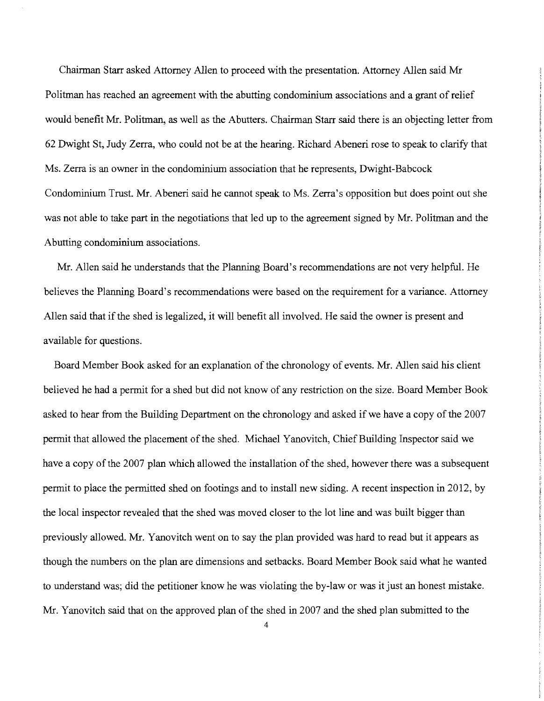Chairman Starr asked Attorney Allen to proceed with the presentation. Attorney Allen said Mr Politman has reached an agreement with the abutting condominium associations and a grant of relief would benefit Mr. Politman, as well as the Abutters. Chairman Starr said there is an objecting letter from 62 Dwight St, Judy Zerra, who could not be at the hearing. Richard Abeneri rose to speak to clarify that Ms. Zerra is an owner in the condominium association that he represents, Dwight-Babcock Condominium Trust. Mr. Abeneri said he cannot speak to Ms. Zerra's opposition but does point out she was not able to take part in the negotiations that led up to the agreement signed by Mr. Politman and the Abutting condominium associations.

Mr. Allen said he understands that the Planning Board's recommendations are not very helpful. He believes the Planning Board's recommendations were based on the requirement for a variance. Attorney Allen said that if the shed is legalized, it will benefit all involved. He said the owner is present and available for questions.

Board Member Book asked for an explanation of the chronology of events. Mr. Allen said his client believed he had a permit for a shed but did not know of any restriction on the size. Board Member Book asked to hear from the Building Department on the chronology and asked if we have a copy of the 2007 permit that allowed the placement of the shed. Michael Yanovitch, Chief Building Inspector said we have a copy of the 2007 plan which allowed the installation of the shed, however there was a subsequent permit to place the permitted shed on footings and to install new siding. A recent inspection in 2012, by the local inspector revealed that the shed was moved closer to the lot line and was built bigger than previously allowed. Mr. Yanovitch went on to say the plan provided was hard to read but it appears as though the numbers on the plan are dimensions and setbacks. Board Member Book said what he wanted to understand was; did the petitioner know he was violating the by-law or was it just an honest mistake. Mr. Yanovitch said that on the approved plan of the shed in 2007 and the shed plan submitted to the

4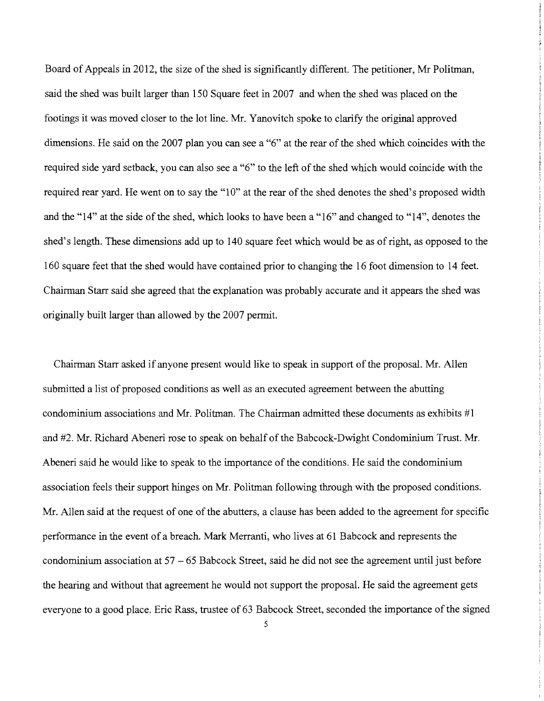Board of Appeals in 2012, the size of the shed is significantly different. The petitioner, Mr Politman, said the shed was built larger than 150 Square feet in 2007 and when the shed was placed on the footings it was moved closer to the lot line. Mr. Yanovitch spoke to clarify the original approved dimensions. He said on the 2007 plan you can see a "6" at the rear of the shed which coincides with the required side yard setback, you can also see a "6" to the left of the shed which would coincide with the required rear yard. He went on to say the "10" at the rear of the shed denotes the shed's proposed width and the "14" at the side of the shed, which looks to have been a "16" and changed to "14", denotes the shed's length. These dimensions add up to 140 square feet which would be as of right, as opposed to the 160 square feet that the shed would have contained prior to changing the 16 foot dimension to 14 feet. Chairman Starr said she agreed that the explanation was probably accurate and it appears the shed was originally built larger than allowed by the 2007 permit.

Chairman Starr asked if anyone present would like to speak in support of the proposal. Mr. Allen submitted a list of proposed conditions as well as an executed agreement between the abutting condominium associations and Mr. Politman. The Chairman admitted these documents as exhibits  $\#1$ and #2. Mr. Richard Abeneri rose to speak on behalf of the Babcock-Dwight Condominium Trust. Mr. Abeneri said he would like to speak to the importance of the conditions. He said the condominium association feels their support hinges on Mr. Politman following through with the proposed conditions. Mr. Allen said at the request of one of the abutters, a clause has been added to the agreement for specific performance in the event of a breach. Mark Merranti, who lives at 61 Babcock and represents the condominium association at 57 - 65 Babcock Street, said he did not see the agreement until just before the hearing and without that agreement he would not support the proposal. He said the agreement gets everyone to a good place. Eric Rass, trustee of 63 Babcock Street, seconded the importance of the signed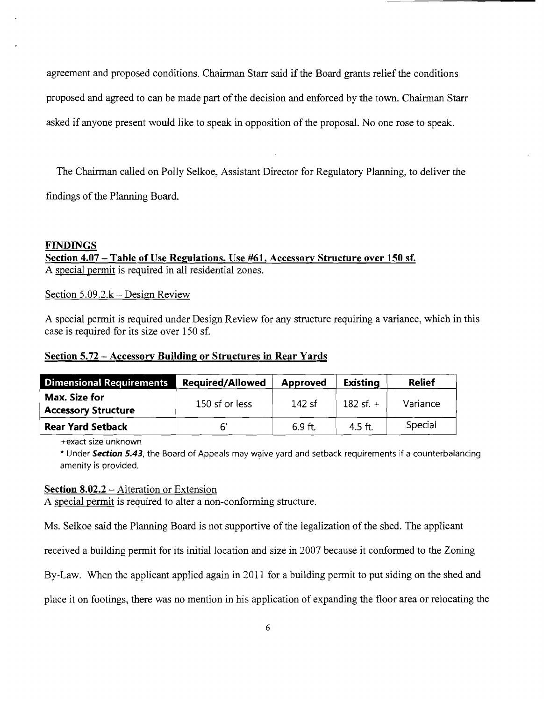agreement and proposed conditions. Chairman Starr said if the Board grants relief the conditions proposed and agreed to can be made part of the decision and enforced by the town. Chairman Starr asked if anyone present would like to speak in opposition of the proposal. No one rose to speak.

The Chairman called on Polly Selkoe, Assistant Director for Regulatory Planning, to deliver the findings of the Planning Board.

### **FINDINGS Section 4.07 - Table** of Use **Regulations, Use #61, Accessory Structure over 150 sf.** A special pennit is required in all residential zones.

Section  $5.09.2 \text{ k}$  – Design Review

A special permit is required under Design Review for any structure requiring a variance, which in this case is required for its size over 150 sf.

### **Section 5.72 - Accessory Building or Structures in Rear Yards**

| <b>Dimensional Requirements</b>             | <b>Required/Allowed</b> | <b>Approved</b> | <b>Existing</b> | <b>Relief</b> |
|---------------------------------------------|-------------------------|-----------------|-----------------|---------------|
| Max. Size for<br><b>Accessory Structure</b> | 150 sf or less          | ่ 142 sf        | 182 sf. $+$     | Variance      |
| <b>Rear Yard Setback</b>                    |                         | 6.9 ft.         | 4.5 ft.         | Special       |

+exact size unknown

\* Under **Section 5.43,** the Board of Appeals may waive yard and setback requirements if a counterbalancing amenity is provided.

#### **Section 8.02.2** – Alteration or Extension

A special permit is required to alter a non-conforming structure.

Ms. Selkoe said the Planning Board is not supportive of the legalization of the shed. The applicant

received a building permit for its initial location and size in 2007 because it conformed to the Zoning

By-Law. When the applicant applied again in 2011 for a building permit to put siding on the shed and

place it on footings, there was no mention in his application of expanding the floor area or relocating the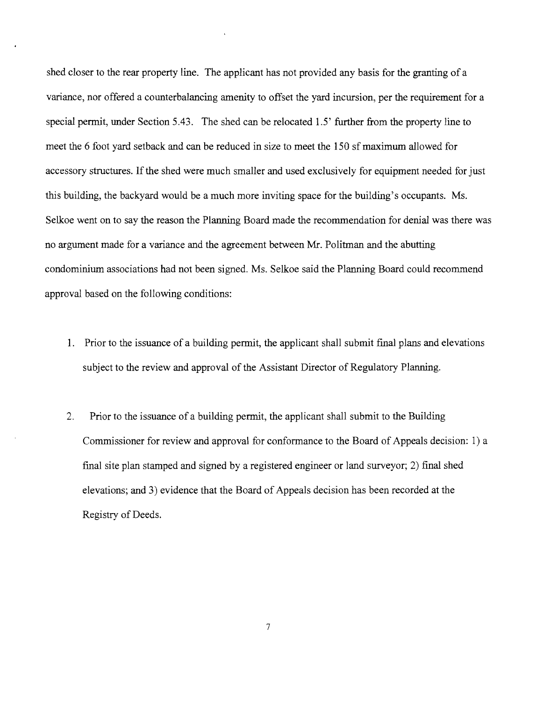shed closer to the rear property line. The applicant has not provided any basis for the granting of a variance, nor offered a counterbalancing amenity to offset the yard incursion, per the requirement for a special permit, under Section 5.43. The shed can be relocated 1.5' further from the property line to meet the 6 foot yard setback and can be reduced in size to meet the 150 sf maximum allowed for accessory structures. If the shed were much smaller and used exclusively for equipment needed for just this building, the backyard would be a much more inviting space for the building's occupants. Ms. Selkoe went on to say the reason the Planning Board made the recommendation for denial was there was no argument made for a variance and the agreement between Mr. Politman and the abutting condominium associations had not been signed. Ms. Selkoe said the Planning Board could recommend approval based on the following conditions:

- 1. Prior to the issuance of a building permit, the applicant shall submit final plans and elevations subject to the review and approval of the Assistant Director of Regulatory Planning.
- 2. Prior to the issuance of a building permit, the applicant shall submit to the Building Commissioner for review and approval for conformance to the Board of Appeals decision: 1) a final site plan stamped and signed by a registered engineer or land surveyor; 2) final shed elevations; and 3) evidence that the Board of Appeals decision has been recorded at the Registry of Deeds.

7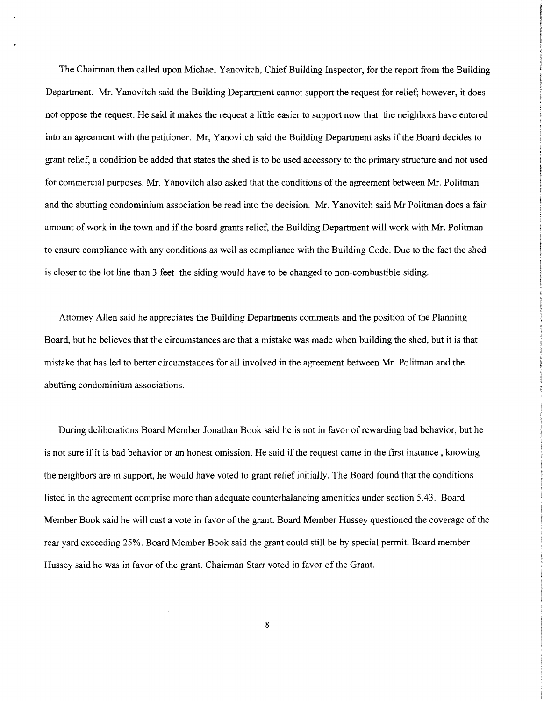The Chainnan then called upon Michael Yanovitch, Chief Building Inspector, for the report from the Building Department. Mr. Yanovitch said the Building Department cannot support the request for relief; however, it does not oppose the request. He said it makes the request a little easier to support now that the neighbors have entered into an agreement with the petitioner. Mr, Yanovitch said the Building Department asks if the Board decides to grant relief, a condition be added that states the shed is to be used accessory to the primary structure and not used for commercial purposes. Mr. Yanovitch also asked that the conditions of the agreement between Mr. Politman and the abutting condominium association be read into the decision. Mr. Yanovitch said Mr Politman does a fair amount of work in the town and if the board grants relief, the Building Department will work with Mr. Politman to ensure compliance with any conditions as well as compliance with the Building Code. Due to the fact the shed is closer to the lot line than 3 feet the siding would have to be changed to non-combustible siding.

Attorney Allen said he appreciates the Building Departments comments and the position of the Planning Board, but he believes that the circumstances are that a mistake was made when building the shed, but it is that mistake that has led to better circumstances for all involved in the agreement between Mr. Politman and the abutting condominium associations.

During deliberations Board Member Jonathan Book said he is not in favor of rewarding bad behavior, but he is not sure if it is bad behavior or an honest omission. He said if the request came in the first instance, knowing the neighbors are in support, he would have voted to grant relief initially. The Board found that the conditions listed in the agreement comprise more than adequate counterbalancing amenities under section 5.43. Board Member Book said he will cast a vote in favor of the grant. Board Member Hussey questioned the coverage of the rear yard exceeding 25%. Board Member Book said the grant could still be by special permit. Board member Hussey said he was in favor of the grant. Chairman Starr voted in favor of the Grant.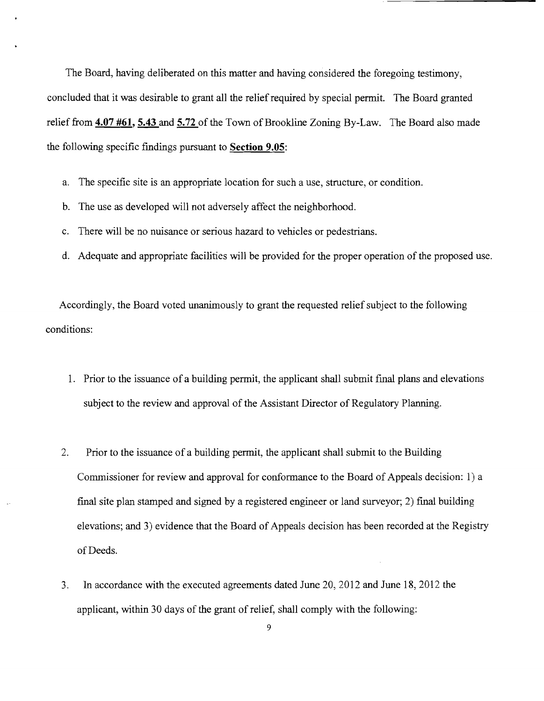The Board, having deliberated on this matter and having considered the foregoing testimony, concluded that it was desirable to grant all the relief required by special permit. The Board granted relief from 4.07 #61, 5.43 and 5.72 of the Town of Brookline Zoning By-Law. The Board also made the following specific findings pursuant to **Section 9.05**:

- a. The specific site is an appropriate location for such a use, structure, or condition.
- b. The use as developed will not adversely affect the neighborhood.
- c. There will be no nuisance or serious hazard to vehicles or pedestrians.
- d. Adequate and appropriate facilities will be provided for the proper operation of the proposed use.

Accordingly, the Board voted unanimously to grant the requested relief subject to the following conditions:

- 1. Prior to the issuance of a building permit, the applicant shall submit final plans and elevations subject to the review and approval of the Assistant Director of Regulatory Planning.
- 2. Prior to the issuance of a building permit, the applicant shall submit to the Building Commissioner for review and approval for conformance to the Board of Appeals decision: 1) a  $final site plan stamped and signed by a registered engineer or land surveyor; 2) final building$ elevations; and 3) evidence that the Board of Appeals decision has been recorded at the Registry of Deeds.
- 3. In accordance with the executed agreements dated June 20, 2012 and June 18, 2012 the applicant, within 30 days of the grant of relief, shall comply with the following: